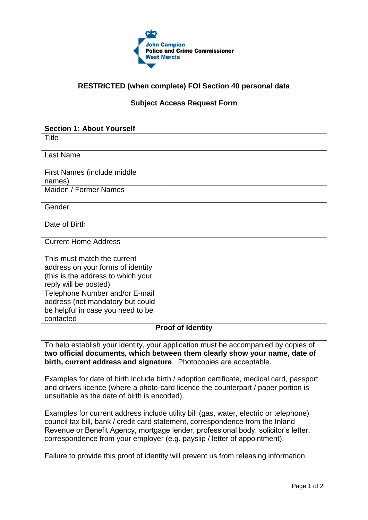

## **RESTRICTED (when complete) FOI Section 40 personal data**

## **Subject Access Request Form**

| <b>Section 1: About Yourself</b>                                                                                                                                                                                                      |  |  |
|---------------------------------------------------------------------------------------------------------------------------------------------------------------------------------------------------------------------------------------|--|--|
| <b>Title</b>                                                                                                                                                                                                                          |  |  |
| <b>Last Name</b>                                                                                                                                                                                                                      |  |  |
| First Names (include middle                                                                                                                                                                                                           |  |  |
| names)                                                                                                                                                                                                                                |  |  |
| Maiden / Former Names                                                                                                                                                                                                                 |  |  |
| Gender                                                                                                                                                                                                                                |  |  |
| Date of Birth                                                                                                                                                                                                                         |  |  |
| <b>Current Home Address</b>                                                                                                                                                                                                           |  |  |
| This must match the current                                                                                                                                                                                                           |  |  |
| address on your forms of identity                                                                                                                                                                                                     |  |  |
| (this is the address to which your                                                                                                                                                                                                    |  |  |
| reply will be posted)                                                                                                                                                                                                                 |  |  |
| Telephone Number and/or E-mail                                                                                                                                                                                                        |  |  |
| address (not mandatory but could                                                                                                                                                                                                      |  |  |
| be helpful in case you need to be                                                                                                                                                                                                     |  |  |
| contacted                                                                                                                                                                                                                             |  |  |
| <b>Proof of Identity</b>                                                                                                                                                                                                              |  |  |
| To help establish your identity, your application must be accompanied by copies of<br>two official documents, which between them clearly show your name, date of<br>birth, current address and signature. Photocopies are acceptable. |  |  |
| Examples for date of birth include birth / adoption certificate, medical card, passport<br>and drivers licence (where a photo-card licence the counterpart / paper portion is<br>unsuitable as the date of birth is encoded).         |  |  |
| Examples for current address include utility bill (gas, water, electric or telephone)                                                                                                                                                 |  |  |

council tax bill, bank / credit card statement, correspondence from the Inland Revenue or Benefit Agency, mortgage lender, professional body, solicitor's letter, correspondence from your employer (e.g. payslip / letter of appointment).

Failure to provide this proof of identity will prevent us from releasing information.